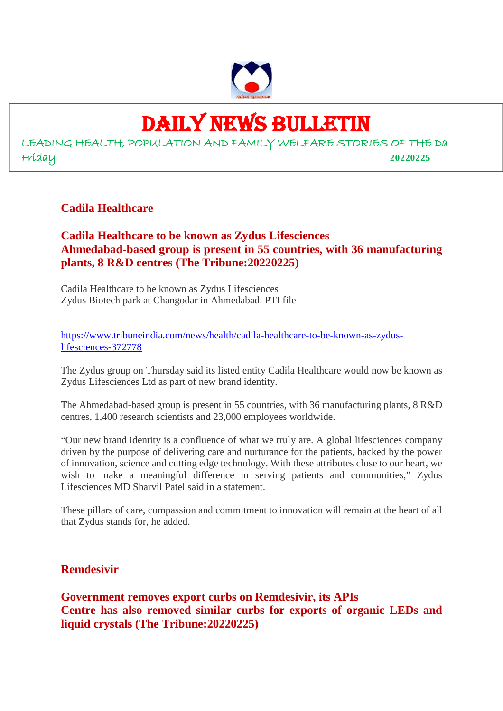

# DAILY NEWS BULLETIN

LEADING HEALTH, POPULATION AND FAMILY WELFARE STORIES OF THE Da Friday **20220225**

#### **Cadila Healthcare**

#### **Cadila Healthcare to be known as Zydus Lifesciences Ahmedabad-based group is present in 55 countries, with 36 manufacturing plants, 8 R&D centres (The Tribune:20220225)**

Cadila Healthcare to be known as Zydus Lifesciences Zydus Biotech park at Changodar in Ahmedabad. PTI file

https://www.tribuneindia.com/news/health/cadila-healthcare-to-be-known-as-zyduslifesciences-372778

The Zydus group on Thursday said its listed entity Cadila Healthcare would now be known as Zydus Lifesciences Ltd as part of new brand identity.

The Ahmedabad-based group is present in 55 countries, with 36 manufacturing plants, 8 R&D centres, 1,400 research scientists and 23,000 employees worldwide.

"Our new brand identity is a confluence of what we truly are. A global lifesciences company driven by the purpose of delivering care and nurturance for the patients, backed by the power of innovation, science and cutting edge technology. With these attributes close to our heart, we wish to make a meaningful difference in serving patients and communities," Zydus Lifesciences MD Sharvil Patel said in a statement.

These pillars of care, compassion and commitment to innovation will remain at the heart of all that Zydus stands for, he added.

#### **Remdesivir**

**Government removes export curbs on Remdesivir, its APIs Centre has also removed similar curbs for exports of organic LEDs and liquid crystals (The Tribune:20220225)**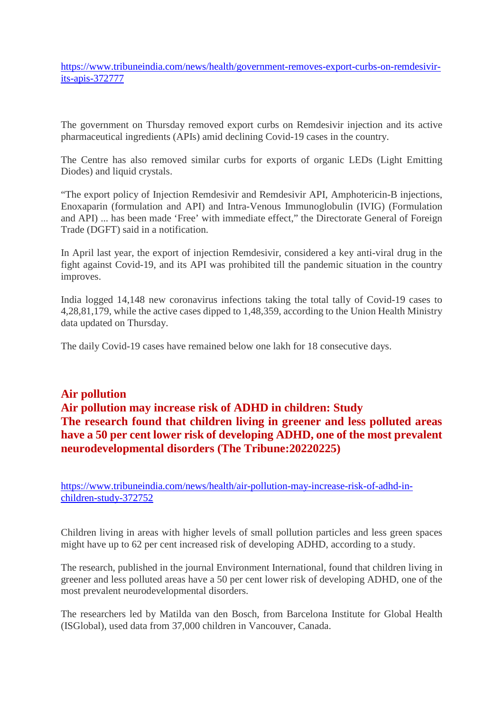https://www.tribuneindia.com/news/health/government-removes-export-curbs-on-remdesivirits-apis-372777

The government on Thursday removed export curbs on Remdesivir injection and its active pharmaceutical ingredients (APIs) amid declining Covid-19 cases in the country.

The Centre has also removed similar curbs for exports of organic LEDs (Light Emitting Diodes) and liquid crystals.

"The export policy of Injection Remdesivir and Remdesivir API, Amphotericin-B injections, Enoxaparin (formulation and API) and Intra-Venous Immunoglobulin (IVIG) (Formulation and API) ... has been made 'Free' with immediate effect," the Directorate General of Foreign Trade (DGFT) said in a notification.

In April last year, the export of injection Remdesivir, considered a key anti-viral drug in the fight against Covid-19, and its API was prohibited till the pandemic situation in the country improves.

India logged 14,148 new coronavirus infections taking the total tally of Covid-19 cases to 4,28,81,179, while the active cases dipped to 1,48,359, according to the Union Health Ministry data updated on Thursday.

The daily Covid-19 cases have remained below one lakh for 18 consecutive days.

#### **Air pollution Air pollution may increase risk of ADHD in children: Study The research found that children living in greener and less polluted areas have a 50 per cent lower risk of developing ADHD, one of the most prevalent neurodevelopmental disorders (The Tribune:20220225)**

https://www.tribuneindia.com/news/health/air-pollution-may-increase-risk-of-adhd-inchildren-study-372752

Children living in areas with higher levels of small pollution particles and less green spaces might have up to 62 per cent increased risk of developing ADHD, according to a study.

The research, published in the journal Environment International, found that children living in greener and less polluted areas have a 50 per cent lower risk of developing ADHD, one of the most prevalent neurodevelopmental disorders.

The researchers led by Matilda van den Bosch, from Barcelona Institute for Global Health (ISGlobal), used data from 37,000 children in Vancouver, Canada.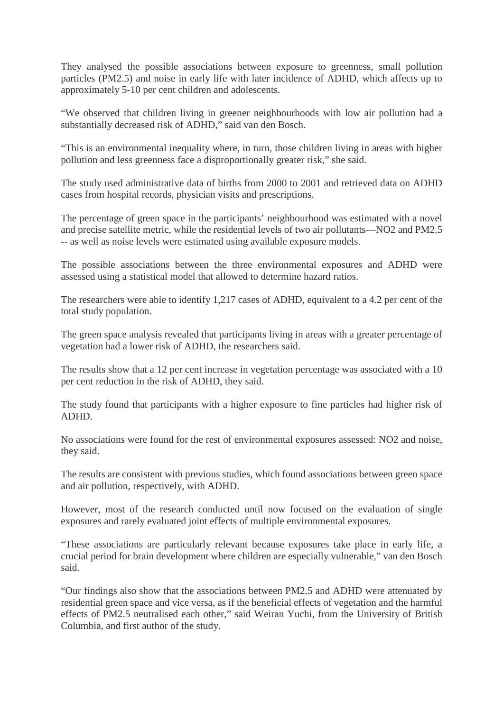They analysed the possible associations between exposure to greenness, small pollution particles (PM2.5) and noise in early life with later incidence of ADHD, which affects up to approximately 5-10 per cent children and adolescents.

"We observed that children living in greener neighbourhoods with low air pollution had a substantially decreased risk of ADHD," said van den Bosch.

"This is an environmental inequality where, in turn, those children living in areas with higher pollution and less greenness face a disproportionally greater risk," she said.

The study used administrative data of births from 2000 to 2001 and retrieved data on ADHD cases from hospital records, physician visits and prescriptions.

The percentage of green space in the participants' neighbourhood was estimated with a novel and precise satellite metric, while the residential levels of two air pollutants—NO2 and PM2.5 -- as well as noise levels were estimated using available exposure models.

The possible associations between the three environmental exposures and ADHD were assessed using a statistical model that allowed to determine hazard ratios.

The researchers were able to identify 1,217 cases of ADHD, equivalent to a 4.2 per cent of the total study population.

The green space analysis revealed that participants living in areas with a greater percentage of vegetation had a lower risk of ADHD, the researchers said.

The results show that a 12 per cent increase in vegetation percentage was associated with a 10 per cent reduction in the risk of ADHD, they said.

The study found that participants with a higher exposure to fine particles had higher risk of ADHD.

No associations were found for the rest of environmental exposures assessed: NO2 and noise, they said.

The results are consistent with previous studies, which found associations between green space and air pollution, respectively, with ADHD.

However, most of the research conducted until now focused on the evaluation of single exposures and rarely evaluated joint effects of multiple environmental exposures.

"These associations are particularly relevant because exposures take place in early life, a crucial period for brain development where children are especially vulnerable," van den Bosch said.

"Our findings also show that the associations between PM2.5 and ADHD were attenuated by residential green space and vice versa, as if the beneficial effects of vegetation and the harmful effects of PM2.5 neutralised each other," said Weiran Yuchi, from the University of British Columbia, and first author of the study.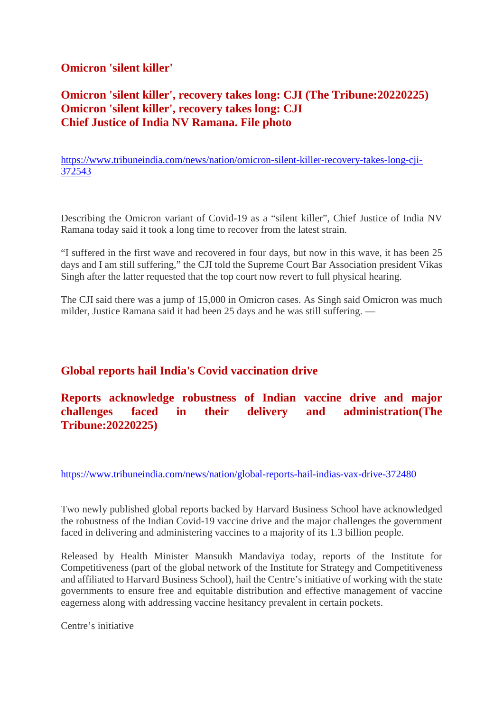#### **Omicron 'silent killer'**

#### **Omicron 'silent killer', recovery takes long: CJI (The Tribune:20220225) Omicron 'silent killer', recovery takes long: CJI Chief Justice of India NV Ramana. File photo**

https://www.tribuneindia.com/news/nation/omicron-silent-killer-recovery-takes-long-cji-372543

Describing the Omicron variant of Covid-19 as a "silent killer", Chief Justice of India NV Ramana today said it took a long time to recover from the latest strain.

"I suffered in the first wave and recovered in four days, but now in this wave, it has been 25 days and I am still suffering," the CJI told the Supreme Court Bar Association president Vikas Singh after the latter requested that the top court now revert to full physical hearing.

The CJI said there was a jump of 15,000 in Omicron cases. As Singh said Omicron was much milder, Justice Ramana said it had been 25 days and he was still suffering. —

#### **Global reports hail India's Covid vaccination drive**

#### **Reports acknowledge robustness of Indian vaccine drive and major challenges faced in their delivery and administration(The Tribune:20220225)**

https://www.tribuneindia.com/news/nation/global-reports-hail-indias-vax-drive-372480

Two newly published global reports backed by Harvard Business School have acknowledged the robustness of the Indian Covid-19 vaccine drive and the major challenges the government faced in delivering and administering vaccines to a majority of its 1.3 billion people.

Released by Health Minister Mansukh Mandaviya today, reports of the Institute for Competitiveness (part of the global network of the Institute for Strategy and Competitiveness and affiliated to Harvard Business School), hail the Centre's initiative of working with the state governments to ensure free and equitable distribution and effective management of vaccine eagerness along with addressing vaccine hesitancy prevalent in certain pockets.

Centre's initiative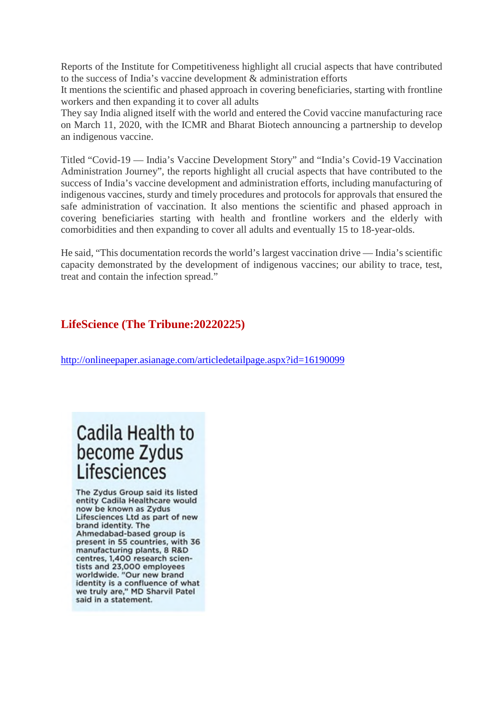Reports of the Institute for Competitiveness highlight all crucial aspects that have contributed to the success of India's vaccine development & administration efforts

It mentions the scientific and phased approach in covering beneficiaries, starting with frontline workers and then expanding it to cover all adults

They say India aligned itself with the world and entered the Covid vaccine manufacturing race on March 11, 2020, with the ICMR and Bharat Biotech announcing a partnership to develop an indigenous vaccine.

Titled "Covid-19 — India's Vaccine Development Story" and "India's Covid-19 Vaccination Administration Journey", the reports highlight all crucial aspects that have contributed to the success of India's vaccine development and administration efforts, including manufacturing of indigenous vaccines, sturdy and timely procedures and protocols for approvals that ensured the safe administration of vaccination. It also mentions the scientific and phased approach in covering beneficiaries starting with health and frontline workers and the elderly with comorbidities and then expanding to cover all adults and eventually 15 to 18-year-olds.

He said, "This documentation records the world's largest vaccination drive — India's scientific capacity demonstrated by the development of indigenous vaccines; our ability to trace, test, treat and contain the infection spread."

#### **LifeScience (The Tribune:20220225)**

http://onlineepaper.asianage.com/articledetailpage.aspx?id=16190099

## Cadila Health to become Zydus Lifesciences

The Zydus Group said its listed entity Cadila Healthcare would now be known as Zydus Lifesciences Ltd as part of new brand identity. The Ahmedabad-based group is present in 55 countries, with 36 manufacturing plants, 8 R&D centres, 1,400 research scientists and 23,000 employees worldwide. "Our new brand identity is a confluence of what we truly are," MD Sharvil Patel said in a statement.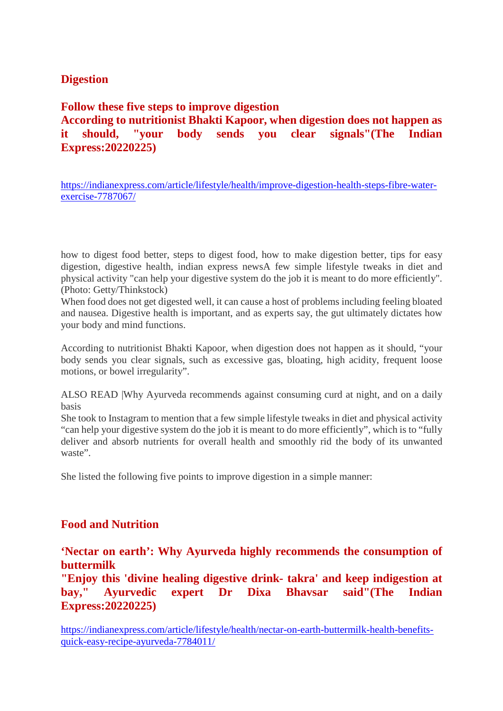#### **Digestion**

#### **Follow these five steps to improve digestion According to nutritionist Bhakti Kapoor, when digestion does not happen as it should, "your body sends you clear signals"(The Indian Express:20220225)**

https://indianexpress.com/article/lifestyle/health/improve-digestion-health-steps-fibre-waterexercise-7787067/

how to digest food better, steps to digest food, how to make digestion better, tips for easy digestion, digestive health, indian express newsA few simple lifestyle tweaks in diet and physical activity "can help your digestive system do the job it is meant to do more efficiently". (Photo: Getty/Thinkstock)

When food does not get digested well, it can cause a host of problems including feeling bloated and nausea. Digestive health is important, and as experts say, the gut ultimately dictates how your body and mind functions.

According to nutritionist Bhakti Kapoor, when digestion does not happen as it should, "your body sends you clear signals, such as excessive gas, bloating, high acidity, frequent loose motions, or bowel irregularity".

ALSO READ |Why Ayurveda recommends against consuming curd at night, and on a daily basis

She took to Instagram to mention that a few simple lifestyle tweaks in diet and physical activity "can help your digestive system do the job it is meant to do more efficiently", which is to "fully deliver and absorb nutrients for overall health and smoothly rid the body of its unwanted waste".

She listed the following five points to improve digestion in a simple manner:

#### **Food and Nutrition**

#### **'Nectar on earth': Why Ayurveda highly recommends the consumption of buttermilk**

**"Enjoy this 'divine healing digestive drink- takra' and keep indigestion at bay," Ayurvedic expert Dr Dixa Bhavsar said"(The Indian Express:20220225)**

https://indianexpress.com/article/lifestyle/health/nectar-on-earth-buttermilk-health-benefitsquick-easy-recipe-ayurveda-7784011/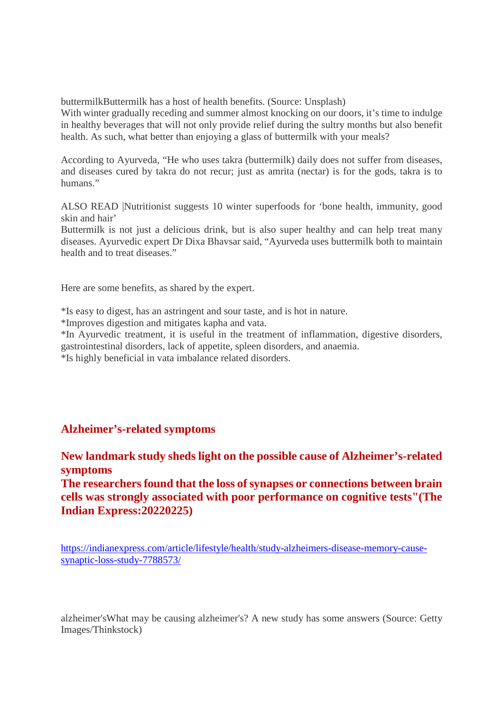buttermilkButtermilk has a host of health benefits. (Source: Unsplash)

With winter gradually receding and summer almost knocking on our doors, it's time to indulge in healthy beverages that will not only provide relief during the sultry months but also benefit health. As such, what better than enjoying a glass of buttermilk with your meals?

According to Ayurveda, "He who uses takra (buttermilk) daily does not suffer from diseases, and diseases cured by takra do not recur; just as amrita (nectar) is for the gods, takra is to humans"

ALSO READ |Nutritionist suggests 10 winter superfoods for 'bone health, immunity, good skin and hair'

Buttermilk is not just a delicious drink, but is also super healthy and can help treat many diseases. Ayurvedic expert Dr Dixa Bhavsar said, "Ayurveda uses buttermilk both to maintain health and to treat diseases."

Here are some benefits, as shared by the expert.

\*Is easy to digest, has an astringent and sour taste, and is hot in nature.

\*Improves digestion and mitigates kapha and vata.

\*In Ayurvedic treatment, it is useful in the treatment of inflammation, digestive disorders, gastrointestinal disorders, lack of appetite, spleen disorders, and anaemia.

\*Is highly beneficial in vata imbalance related disorders.

#### **Alzheimer's-related symptoms**

**New landmark study sheds light on the possible cause of Alzheimer's-related symptoms**

**The researchers found that the loss of synapses or connections between brain cells was strongly associated with poor performance on cognitive tests"(The Indian Express:20220225)**

https://indianexpress.com/article/lifestyle/health/study-alzheimers-disease-memory-causesynaptic-loss-study-7788573/

alzheimer'sWhat may be causing alzheimer's? A new study has some answers (Source: Getty Images/Thinkstock)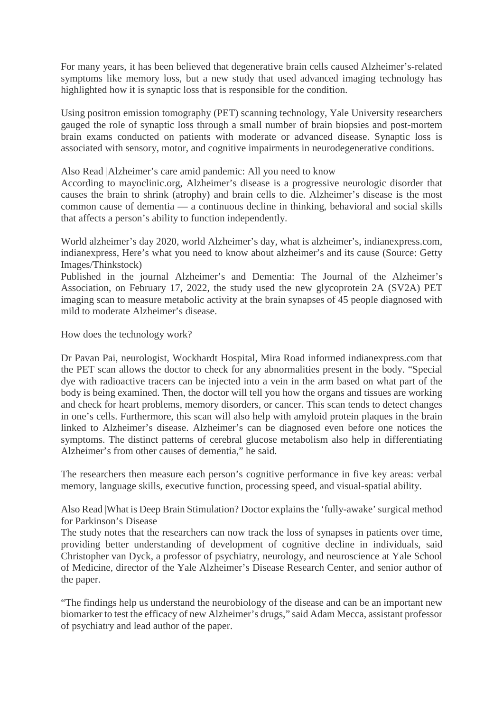For many years, it has been believed that degenerative brain cells caused Alzheimer's-related symptoms like memory loss, but a new study that used advanced imaging technology has highlighted how it is synaptic loss that is responsible for the condition.

Using positron emission tomography (PET) scanning technology, Yale University researchers gauged the role of synaptic loss through a small number of brain biopsies and post-mortem brain exams conducted on patients with moderate or advanced disease. Synaptic loss is associated with sensory, motor, and cognitive impairments in neurodegenerative conditions.

Also Read |Alzheimer's care amid pandemic: All you need to know

According to mayoclinic.org, Alzheimer's disease is a progressive neurologic disorder that causes the brain to shrink (atrophy) and brain cells to die. Alzheimer's disease is the most common cause of dementia — a continuous decline in thinking, behavioral and social skills that affects a person's ability to function independently.

World alzheimer's day 2020, world Alzheimer's day, what is alzheimer's, indianexpress.com, indianexpress, Here's what you need to know about alzheimer's and its cause (Source: Getty Images/Thinkstock)

Published in the journal Alzheimer's and Dementia: The Journal of the Alzheimer's Association, on February 17, 2022, the study used the new glycoprotein 2A (SV2A) PET imaging scan to measure metabolic activity at the brain synapses of 45 people diagnosed with mild to moderate Alzheimer's disease.

How does the technology work?

Dr Pavan Pai, neurologist, Wockhardt Hospital, Mira Road informed indianexpress.com that the PET scan allows the doctor to check for any abnormalities present in the body. "Special dye with radioactive tracers can be injected into a vein in the arm based on what part of the body is being examined. Then, the doctor will tell you how the organs and tissues are working and check for heart problems, memory disorders, or cancer. This scan tends to detect changes in one's cells. Furthermore, this scan will also help with amyloid protein plaques in the brain linked to Alzheimer's disease. Alzheimer's can be diagnosed even before one notices the symptoms. The distinct patterns of cerebral glucose metabolism also help in differentiating Alzheimer's from other causes of dementia," he said.

The researchers then measure each person's cognitive performance in five key areas: verbal memory, language skills, executive function, processing speed, and visual-spatial ability.

Also Read |What is Deep Brain Stimulation? Doctor explains the 'fully-awake' surgical method for Parkinson's Disease

The study notes that the researchers can now track the loss of synapses in patients over time, providing better understanding of development of cognitive decline in individuals, said Christopher van Dyck, a professor of psychiatry, neurology, and neuroscience at Yale School of Medicine, director of the Yale Alzheimer's Disease Research Center, and senior author of the paper.

"The findings help us understand the neurobiology of the disease and can be an important new biomarker to test the efficacy of new Alzheimer's drugs," said Adam Mecca, assistant professor of psychiatry and lead author of the paper.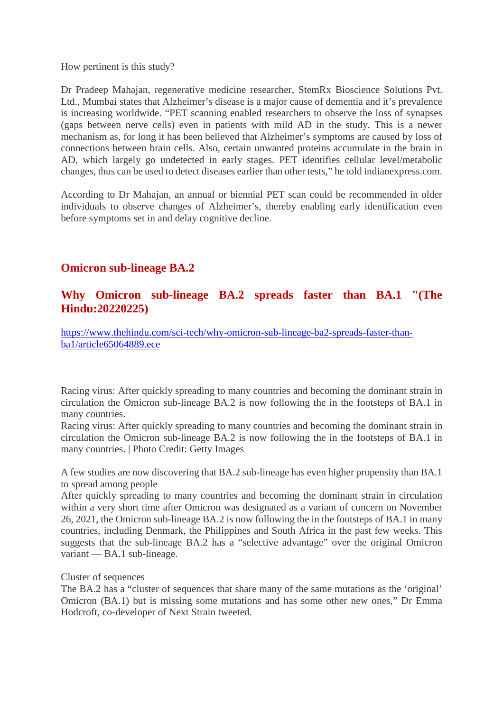How pertinent is this study?

Dr Pradeep Mahajan, regenerative medicine researcher, StemRx Bioscience Solutions Pvt. Ltd., Mumbai states that Alzheimer's disease is a major cause of dementia and it's prevalence is increasing worldwide. "PET scanning enabled researchers to observe the loss of synapses (gaps between nerve cells) even in patients with mild AD in the study. This is a newer mechanism as, for long it has been believed that Alzheimer's symptoms are caused by loss of connections between brain cells. Also, certain unwanted proteins accumulate in the brain in AD, which largely go undetected in early stages. PET identifies cellular level/metabolic changes, thus can be used to detect diseases earlier than other tests," he told indianexpress.com.

According to Dr Mahajan, an annual or biennial PET scan could be recommended in older individuals to observe changes of Alzheimer's, thereby enabling early identification even before symptoms set in and delay cognitive decline.

#### **Omicron sub-lineage BA.2**

#### **Why Omicron sub-lineage BA.2 spreads faster than BA.1 "(The Hindu:20220225)**

https://www.thehindu.com/sci-tech/why-omicron-sub-lineage-ba2-spreads-faster-thanba1/article65064889.ece

Racing virus: After quickly spreading to many countries and becoming the dominant strain in circulation the Omicron sub-lineage BA.2 is now following the in the footsteps of BA.1 in many countries.

Racing virus: After quickly spreading to many countries and becoming the dominant strain in circulation the Omicron sub-lineage BA.2 is now following the in the footsteps of BA.1 in many countries. | Photo Credit: Getty Images

A few studies are now discovering that BA.2 sub-lineage has even higher propensity than BA.1 to spread among people

After quickly spreading to many countries and becoming the dominant strain in circulation within a very short time after Omicron was designated as a variant of concern on November 26, 2021, the Omicron sub-lineage BA.2 is now following the in the footsteps of BA.1 in many countries, including Denmark, the Philippines and South Africa in the past few weeks. This suggests that the sub-lineage BA.2 has a "selective advantage" over the original Omicron variant — BA.1 sub-lineage.

Cluster of sequences

The BA.2 has a "cluster of sequences that share many of the same mutations as the 'original' Omicron (BA.1) but is missing some mutations and has some other new ones," Dr Emma Hodcroft, co-developer of Next Strain tweeted.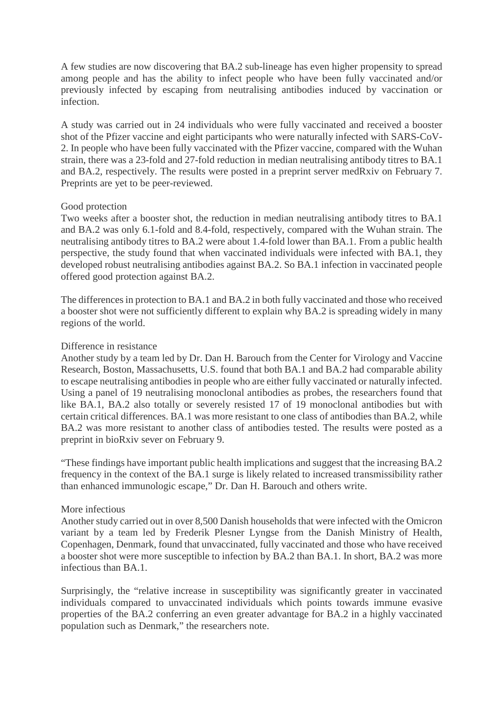A few studies are now discovering that BA.2 sub-lineage has even higher propensity to spread among people and has the ability to infect people who have been fully vaccinated and/or previously infected by escaping from neutralising antibodies induced by vaccination or infection.

A study was carried out in 24 individuals who were fully vaccinated and received a booster shot of the Pfizer vaccine and eight participants who were naturally infected with SARS-CoV-2. In people who have been fully vaccinated with the Pfizer vaccine, compared with the Wuhan strain, there was a 23-fold and 27-fold reduction in median neutralising antibody titres to BA.1 and BA.2, respectively. The results were posted in a preprint server medRxiv on February 7. Preprints are yet to be peer-reviewed.

#### Good protection

Two weeks after a booster shot, the reduction in median neutralising antibody titres to BA.1 and BA.2 was only 6.1-fold and 8.4-fold, respectively, compared with the Wuhan strain. The neutralising antibody titres to BA.2 were about 1.4-fold lower than BA.1. From a public health perspective, the study found that when vaccinated individuals were infected with BA.1, they developed robust neutralising antibodies against BA.2. So BA.1 infection in vaccinated people offered good protection against BA.2.

The differences in protection to BA.1 and BA.2 in both fully vaccinated and those who received a booster shot were not sufficiently different to explain why BA.2 is spreading widely in many regions of the world.

#### Difference in resistance

Another study by a team led by Dr. Dan H. Barouch from the Center for Virology and Vaccine Research, Boston, Massachusetts, U.S. found that both BA.1 and BA.2 had comparable ability to escape neutralising antibodies in people who are either fully vaccinated or naturally infected. Using a panel of 19 neutralising monoclonal antibodies as probes, the researchers found that like BA.1, BA.2 also totally or severely resisted 17 of 19 monoclonal antibodies but with certain critical differences. BA.1 was more resistant to one class of antibodies than BA.2, while BA.2 was more resistant to another class of antibodies tested. The results were posted as a preprint in bioRxiv sever on February 9.

"These findings have important public health implications and suggest that the increasing BA.2 frequency in the context of the BA.1 surge is likely related to increased transmissibility rather than enhanced immunologic escape," Dr. Dan H. Barouch and others write.

#### More infectious

Another study carried out in over 8,500 Danish households that were infected with the Omicron variant by a team led by Frederik Plesner Lyngse from the Danish Ministry of Health, Copenhagen, Denmark, found that unvaccinated, fully vaccinated and those who have received a booster shot were more susceptible to infection by BA.2 than BA.1. In short, BA.2 was more infectious than BA.1.

Surprisingly, the "relative increase in susceptibility was significantly greater in vaccinated individuals compared to unvaccinated individuals which points towards immune evasive properties of the BA.2 conferring an even greater advantage for BA.2 in a highly vaccinated population such as Denmark," the researchers note.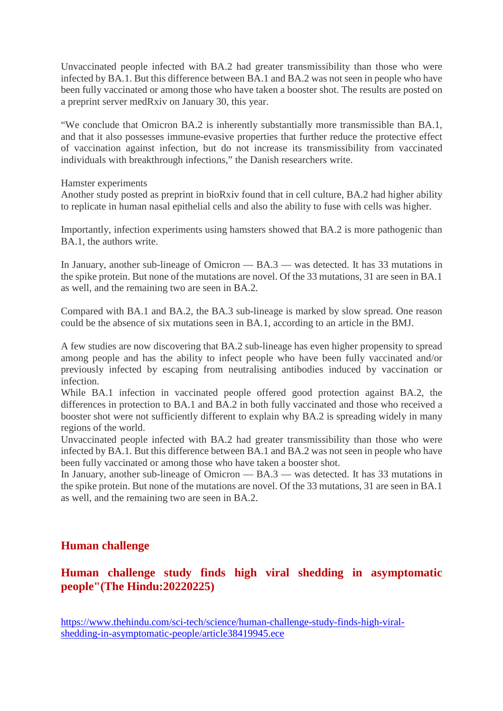Unvaccinated people infected with BA.2 had greater transmissibility than those who were infected by BA.1. But this difference between BA.1 and BA.2 was not seen in people who have been fully vaccinated or among those who have taken a booster shot. The results are posted on a preprint server medRxiv on January 30, this year.

"We conclude that Omicron BA.2 is inherently substantially more transmissible than BA.1, and that it also possesses immune-evasive properties that further reduce the protective effect of vaccination against infection, but do not increase its transmissibility from vaccinated individuals with breakthrough infections," the Danish researchers write.

Hamster experiments

Another study posted as preprint in bioRxiv found that in cell culture, BA.2 had higher ability to replicate in human nasal epithelial cells and also the ability to fuse with cells was higher.

Importantly, infection experiments using hamsters showed that BA.2 is more pathogenic than BA.1, the authors write.

In January, another sub-lineage of Omicron — BA.3 — was detected. It has 33 mutations in the spike protein. But none of the mutations are novel. Of the 33 mutations, 31 are seen in BA.1 as well, and the remaining two are seen in BA.2.

Compared with BA.1 and BA.2, the BA.3 sub-lineage is marked by slow spread. One reason could be the absence of six mutations seen in BA.1, according to an article in the BMJ.

A few studies are now discovering that BA.2 sub-lineage has even higher propensity to spread among people and has the ability to infect people who have been fully vaccinated and/or previously infected by escaping from neutralising antibodies induced by vaccination or infection.

While BA.1 infection in vaccinated people offered good protection against BA.2, the differences in protection to BA.1 and BA.2 in both fully vaccinated and those who received a booster shot were not sufficiently different to explain why BA.2 is spreading widely in many regions of the world.

Unvaccinated people infected with BA.2 had greater transmissibility than those who were infected by BA.1. But this difference between BA.1 and BA.2 was not seen in people who have been fully vaccinated or among those who have taken a booster shot.

In January, another sub-lineage of Omicron — BA.3 — was detected. It has 33 mutations in the spike protein. But none of the mutations are novel. Of the 33 mutations, 31 are seen in BA.1 as well, and the remaining two are seen in BA.2.

#### **Human challenge**

#### **Human challenge study finds high viral shedding in asymptomatic people"(The Hindu:20220225)**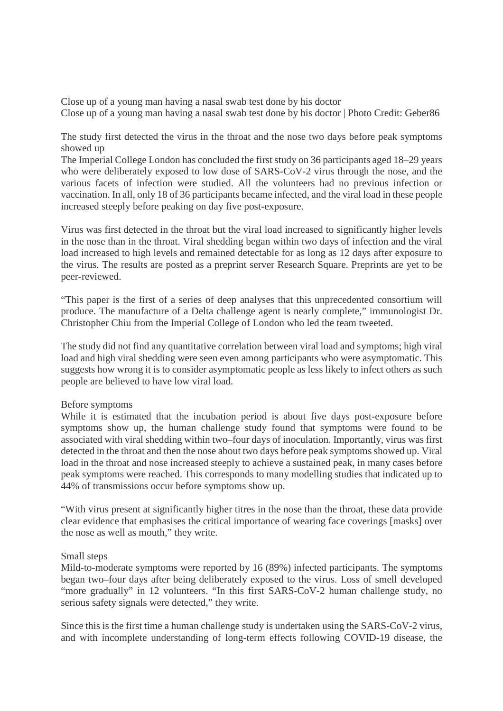Close up of a young man having a nasal swab test done by his doctor Close up of a young man having a nasal swab test done by his doctor | Photo Credit: Geber86

The study first detected the virus in the throat and the nose two days before peak symptoms showed up

The Imperial College London has concluded the first study on 36 participants aged 18–29 years who were deliberately exposed to low dose of SARS-CoV-2 virus through the nose, and the various facets of infection were studied. All the volunteers had no previous infection or vaccination. In all, only 18 of 36 participants became infected, and the viral load in these people increased steeply before peaking on day five post-exposure.

Virus was first detected in the throat but the viral load increased to significantly higher levels in the nose than in the throat. Viral shedding began within two days of infection and the viral load increased to high levels and remained detectable for as long as 12 days after exposure to the virus. The results are posted as a preprint server Research Square. Preprints are yet to be peer-reviewed.

"This paper is the first of a series of deep analyses that this unprecedented consortium will produce. The manufacture of a Delta challenge agent is nearly complete," immunologist Dr. Christopher Chiu from the Imperial College of London who led the team tweeted.

The study did not find any quantitative correlation between viral load and symptoms; high viral load and high viral shedding were seen even among participants who were asymptomatic. This suggests how wrong it is to consider asymptomatic people as less likely to infect others as such people are believed to have low viral load.

#### Before symptoms

While it is estimated that the incubation period is about five days post-exposure before symptoms show up, the human challenge study found that symptoms were found to be associated with viral shedding within two–four days of inoculation. Importantly, virus was first detected in the throat and then the nose about two days before peak symptoms showed up. Viral load in the throat and nose increased steeply to achieve a sustained peak, in many cases before peak symptoms were reached. This corresponds to many modelling studies that indicated up to 44% of transmissions occur before symptoms show up.

"With virus present at significantly higher titres in the nose than the throat, these data provide clear evidence that emphasises the critical importance of wearing face coverings [masks] over the nose as well as mouth," they write.

#### Small steps

Mild-to-moderate symptoms were reported by 16 (89%) infected participants. The symptoms began two–four days after being deliberately exposed to the virus. Loss of smell developed "more gradually" in 12 volunteers. "In this first SARS-CoV-2 human challenge study, no serious safety signals were detected," they write.

Since this is the first time a human challenge study is undertaken using the SARS-CoV-2 virus, and with incomplete understanding of long-term effects following COVID-19 disease, the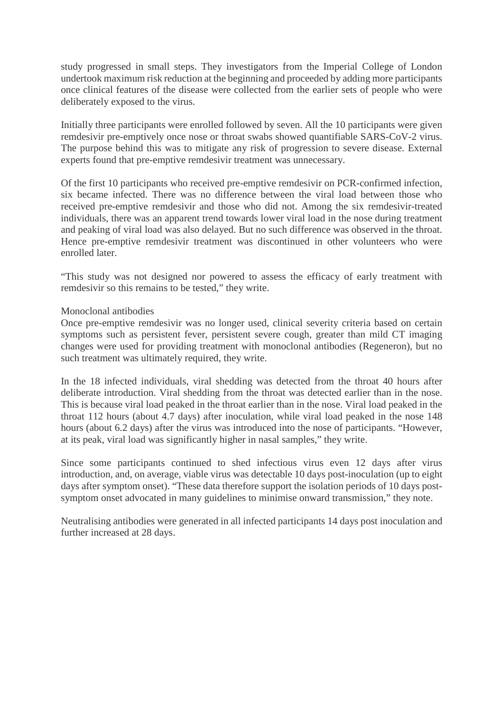study progressed in small steps. They investigators from the Imperial College of London undertook maximum risk reduction at the beginning and proceeded by adding more participants once clinical features of the disease were collected from the earlier sets of people who were deliberately exposed to the virus.

Initially three participants were enrolled followed by seven. All the 10 participants were given remdesivir pre-emptively once nose or throat swabs showed quantifiable SARS-CoV-2 virus. The purpose behind this was to mitigate any risk of progression to severe disease. External experts found that pre-emptive remdesivir treatment was unnecessary.

Of the first 10 participants who received pre-emptive remdesivir on PCR-confirmed infection, six became infected. There was no difference between the viral load between those who received pre-emptive remdesivir and those who did not. Among the six remdesivir-treated individuals, there was an apparent trend towards lower viral load in the nose during treatment and peaking of viral load was also delayed. But no such difference was observed in the throat. Hence pre-emptive remdesivir treatment was discontinued in other volunteers who were enrolled later.

"This study was not designed nor powered to assess the efficacy of early treatment with remdesivir so this remains to be tested," they write.

#### Monoclonal antibodies

Once pre-emptive remdesivir was no longer used, clinical severity criteria based on certain symptoms such as persistent fever, persistent severe cough, greater than mild CT imaging changes were used for providing treatment with monoclonal antibodies (Regeneron), but no such treatment was ultimately required, they write.

In the 18 infected individuals, viral shedding was detected from the throat 40 hours after deliberate introduction. Viral shedding from the throat was detected earlier than in the nose. This is because viral load peaked in the throat earlier than in the nose. Viral load peaked in the throat 112 hours (about 4.7 days) after inoculation, while viral load peaked in the nose 148 hours (about 6.2 days) after the virus was introduced into the nose of participants. "However, at its peak, viral load was significantly higher in nasal samples," they write.

Since some participants continued to shed infectious virus even 12 days after virus introduction, and, on average, viable virus was detectable 10 days post-inoculation (up to eight days after symptom onset). "These data therefore support the isolation periods of 10 days postsymptom onset advocated in many guidelines to minimise onward transmission," they note.

Neutralising antibodies were generated in all infected participants 14 days post inoculation and further increased at 28 days.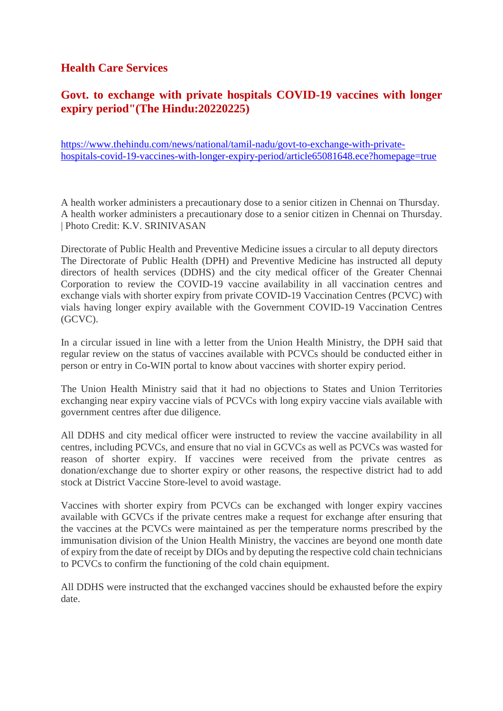#### **Health Care Services**

#### **Govt. to exchange with private hospitals COVID-19 vaccines with longer expiry period"(The Hindu:20220225)**

https://www.thehindu.com/news/national/tamil-nadu/govt-to-exchange-with-privatehospitals-covid-19-vaccines-with-longer-expiry-period/article65081648.ece?homepage=true

A health worker administers a precautionary dose to a senior citizen in Chennai on Thursday. A health worker administers a precautionary dose to a senior citizen in Chennai on Thursday. | Photo Credit: K.V. SRINIVASAN

Directorate of Public Health and Preventive Medicine issues a circular to all deputy directors The Directorate of Public Health (DPH) and Preventive Medicine has instructed all deputy directors of health services (DDHS) and the city medical officer of the Greater Chennai Corporation to review the COVID-19 vaccine availability in all vaccination centres and exchange vials with shorter expiry from private COVID-19 Vaccination Centres (PCVC) with vials having longer expiry available with the Government COVID-19 Vaccination Centres (GCVC).

In a circular issued in line with a letter from the Union Health Ministry, the DPH said that regular review on the status of vaccines available with PCVCs should be conducted either in person or entry in Co-WIN portal to know about vaccines with shorter expiry period.

The Union Health Ministry said that it had no objections to States and Union Territories exchanging near expiry vaccine vials of PCVCs with long expiry vaccine vials available with government centres after due diligence.

All DDHS and city medical officer were instructed to review the vaccine availability in all centres, including PCVCs, and ensure that no vial in GCVCs as well as PCVCs was wasted for reason of shorter expiry. If vaccines were received from the private centres as donation/exchange due to shorter expiry or other reasons, the respective district had to add stock at District Vaccine Store-level to avoid wastage.

Vaccines with shorter expiry from PCVCs can be exchanged with longer expiry vaccines available with GCVCs if the private centres make a request for exchange after ensuring that the vaccines at the PCVCs were maintained as per the temperature norms prescribed by the immunisation division of the Union Health Ministry, the vaccines are beyond one month date of expiry from the date of receipt by DIOs and by deputing the respective cold chain technicians to PCVCs to confirm the functioning of the cold chain equipment.

All DDHS were instructed that the exchanged vaccines should be exhausted before the expiry date.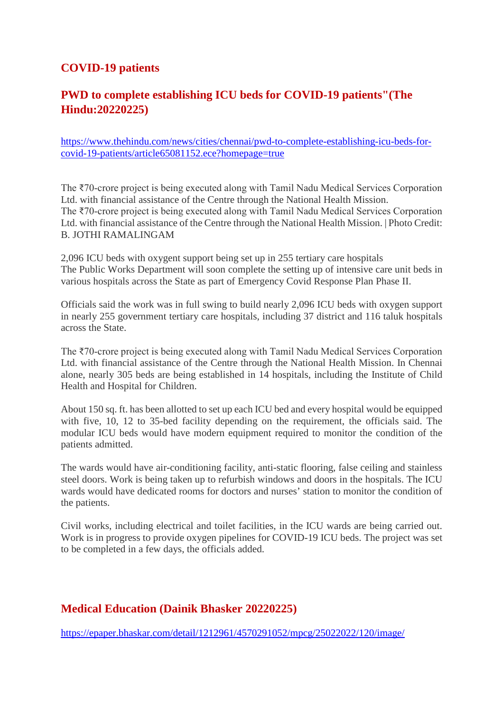#### **COVID-19 patients**

#### **PWD to complete establishing ICU beds for COVID-19 patients"(The Hindu:20220225)**

https://www.thehindu.com/news/cities/chennai/pwd-to-complete-establishing-icu-beds-forcovid-19-patients/article65081152.ece?homepage=true

The ₹70-crore project is being executed along with Tamil Nadu Medical Services Corporation Ltd. with financial assistance of the Centre through the National Health Mission. The ₹70-crore project is being executed along with Tamil Nadu Medical Services Corporation Ltd. with financial assistance of the Centre through the National Health Mission. | Photo Credit: B. JOTHI RAMALINGAM

2,096 ICU beds with oxygent support being set up in 255 tertiary care hospitals The Public Works Department will soon complete the setting up of intensive care unit beds in various hospitals across the State as part of Emergency Covid Response Plan Phase II.

Officials said the work was in full swing to build nearly 2,096 ICU beds with oxygen support in nearly 255 government tertiary care hospitals, including 37 district and 116 taluk hospitals across the State.

The ₹70-crore project is being executed along with Tamil Nadu Medical Services Corporation Ltd. with financial assistance of the Centre through the National Health Mission. In Chennai alone, nearly 305 beds are being established in 14 hospitals, including the Institute of Child Health and Hospital for Children.

About 150 sq. ft. has been allotted to set up each ICU bed and every hospital would be equipped with five, 10, 12 to 35-bed facility depending on the requirement, the officials said. The modular ICU beds would have modern equipment required to monitor the condition of the patients admitted.

The wards would have air-conditioning facility, anti-static flooring, false ceiling and stainless steel doors. Work is being taken up to refurbish windows and doors in the hospitals. The ICU wards would have dedicated rooms for doctors and nurses' station to monitor the condition of the patients.

Civil works, including electrical and toilet facilities, in the ICU wards are being carried out. Work is in progress to provide oxygen pipelines for COVID-19 ICU beds. The project was set to be completed in a few days, the officials added.

#### **Medical Education (Dainik Bhasker 20220225)**

https://epaper.bhaskar.com/detail/1212961/4570291052/mpcg/25022022/120/image/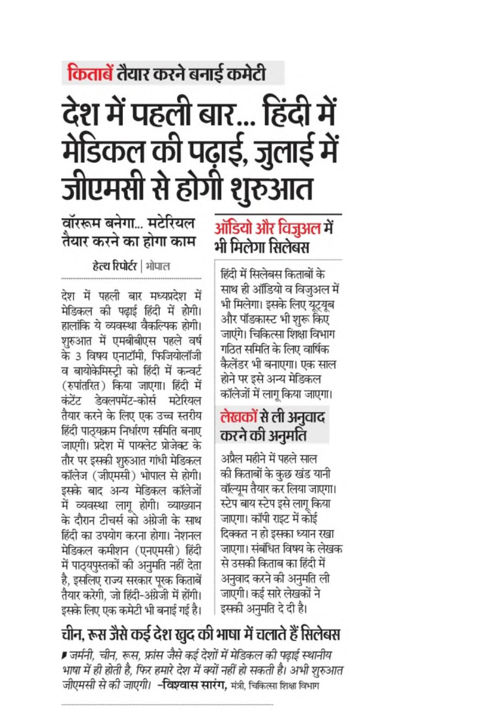# किताबें तैयार करने बनाई कमेटी

# देश में पहली बार... हिंदी में मेडिकल की पढ़ाई, जुलाई में<br>जीएमसी से होगी शुरुआत

वॉररूम बनेगा... मटेरियल तैयार करने का होगा काम

### हेत्थ रिपोर्टर | भोपाल

देश में पहली बार मध्यप्रदेश में मेडिकल की पढाई हिंदी में होगी। हालांकि ये व्यवस्था वैकल्पिक होगी। शुरुआत में एमबीबीएस पहले वर्ष के 3 विषय एनाटॉमी, फिजियोलॉजी व बायोकेमिस्टी को हिंदी में कन्वर्ट (रुपांतरित) किया जाएगा। हिंदी में कंटेंट डेवलपमेंट-कोर्स मटेरियल तैयार करने के लिए एक उच्च स्तरीय हिंदी पाठ्यक्रम निर्धारण समिति बनाए जाएगी। प्रदेश में पायलेट प्रोजेक्ट के तौर पर इसकी शुरुआत गांधी मेडिकल कॉलेज (जीएमसी) भोपाल से होगी। इसके बाद अन्य मेडिकल कॉलेजों में व्यवस्था लागू होगी। व्याख्यान के दौरान टीचर्स को अंग्रेजी के साथ हिंदी का उपयोग करना होगा। नेशनल मेडिकल कमीशन (एनएमसी) हिंदी में पाठ्यपुस्तकों की अनुमति नहीं देता है, इसलिए राज्य सरकार पूरक किताबें तैयार करेगी, जो हिंदी-अंग्रेजी में होंगी। इसके लिए एक कमेटी भी बनाई गई है।

## ऑडियो और विजुअल में भी मिलेगा सिलेबस

हिंदी में सिलेबस किताबों के साथ ही ऑडियो व विज़अल में भी मिलेगा। इसके लिए यूटयूब और पॉडकास्ट भी शुरू किए जाएंगे। चिकित्सा शिक्षा विभाग गठित समिति के लिए वार्षिक कैलेंडर भी बनाएगा। एक साल होने पर इसे अन्य मेडिकल कॉलेजों में लागू किया जाएगा।

## लेखकों से ली अनुवाद करने की अनुमति

अप्रैल महीने में पहले साल की किताबों के कुछ खंड यानी वॉल्युम तैयार कर लिया जाएगा। स्टेप बाय स्टेप इसे लागू किया जाएगा। कॉपी राइट में कोई दिक्कत न हो इसका ध्यान रखा जाएगा। संबंधित विषय के लेखक से उसकी किताब का हिंदी में अनुवाद करने की अनुमति ली जाएगी। कई सारे लेखकों ने इसकी अनुमति दे दी है।

# चीन, रूस जैसे कई देश खुद की भाषा में चलाते हैं सिलेबस

■ जर्मनी, चीन, रूस, फ्रांस जैसे कई देशों में मेडिकल की पढ़ाई स्थानीय भाषा में ही होती है, फिर हमारे देश में क्यों नहीं हो सकती है। अभी शुरुआत जीएमसी से की जाएगी। **-विश्वास सारंग,** मंत्री, चिकित्सा शिक्षा विभाग